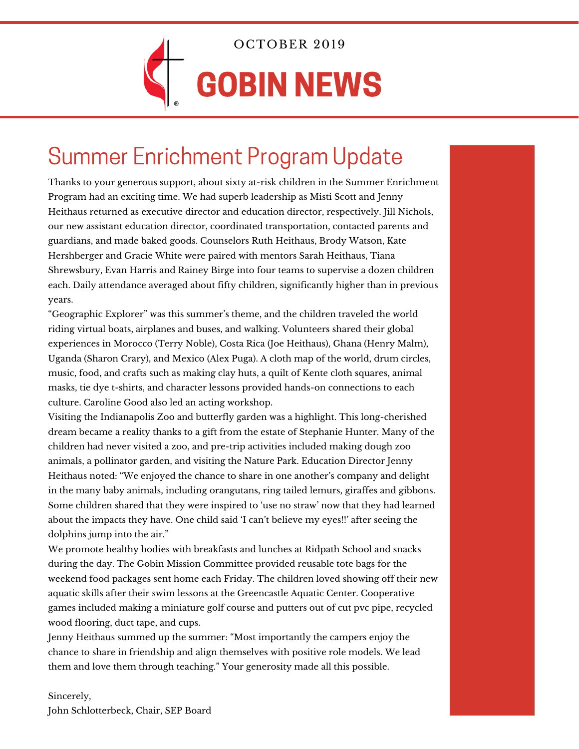

OCTOBER 2019

# GOBIN NEWS

### Summer Enrichment Program Update

Thanks to your generous support, about sixty at-risk children in the Summer Enrichment Program had an exciting time. We had superb leadership as Misti Scott and Jenny Heithaus returned as executive director and education director, respectively. Jill Nichols, our new assistant education director, coordinated transportation, contacted parents and guardians, and made baked goods. Counselors Ruth Heithaus, Brody Watson, Kate Hershberger and Gracie White were paired with mentors Sarah Heithaus, Tiana Shrewsbury, Evan Harris and Rainey Birge into four teams to supervise a dozen children each. Daily attendance averaged about fifty children, significantly higher than in previous years.

"Geographic Explorer" was this summer's theme, and the children traveled the world riding virtual boats, airplanes and buses, and walking. Volunteers shared their global experiences in Morocco (Terry Noble), Costa Rica (Joe Heithaus), Ghana (Henry Malm), Uganda (Sharon Crary), and Mexico (Alex Puga). A cloth map of the world, drum circles, music, food, and crafts such as making clay huts, a quilt of Kente cloth squares, animal masks, tie dye t-shirts, and character lessons provided hands-on connections to each culture. Caroline Good also led an acting workshop.

Visiting the Indianapolis Zoo and butterfly garden was a highlight. This long-cherished dream became a reality thanks to a gift from the estate of Stephanie Hunter. Many of the children had never visited a zoo, and pre-trip activities included making dough zoo animals, a pollinator garden, and visiting the Nature Park. Education Director Jenny Heithaus noted: "We enjoyed the chance to share in one another's company and delight in the many baby animals, including orangutans, ring tailed lemurs, giraffes and gibbons. Some children shared that they were inspired to 'use no straw' now that they had learned about the impacts they have. One child said 'I can't believe my eyes!!' after seeing the dolphins jump into the air."

We promote healthy bodies with breakfasts and lunches at Ridpath School and snacks during the day. The Gobin Mission Committee provided reusable tote bags for the weekend food packages sent home each Friday. The children loved showing off their new aquatic skills after their swim lessons at the Greencastle Aquatic Center. Cooperative games included making a miniature golf course and putters out of cut pvc pipe, recycled wood flooring, duct tape, and cups.

Jenny Heithaus summed up the summer: "Most importantly the campers enjoy the chance to share in friendship and align themselves with positive role models. We lead them and love them through teaching." Your generosity made all this possible.

Sincerely, John Schlotterbeck, Chair, SEP Board